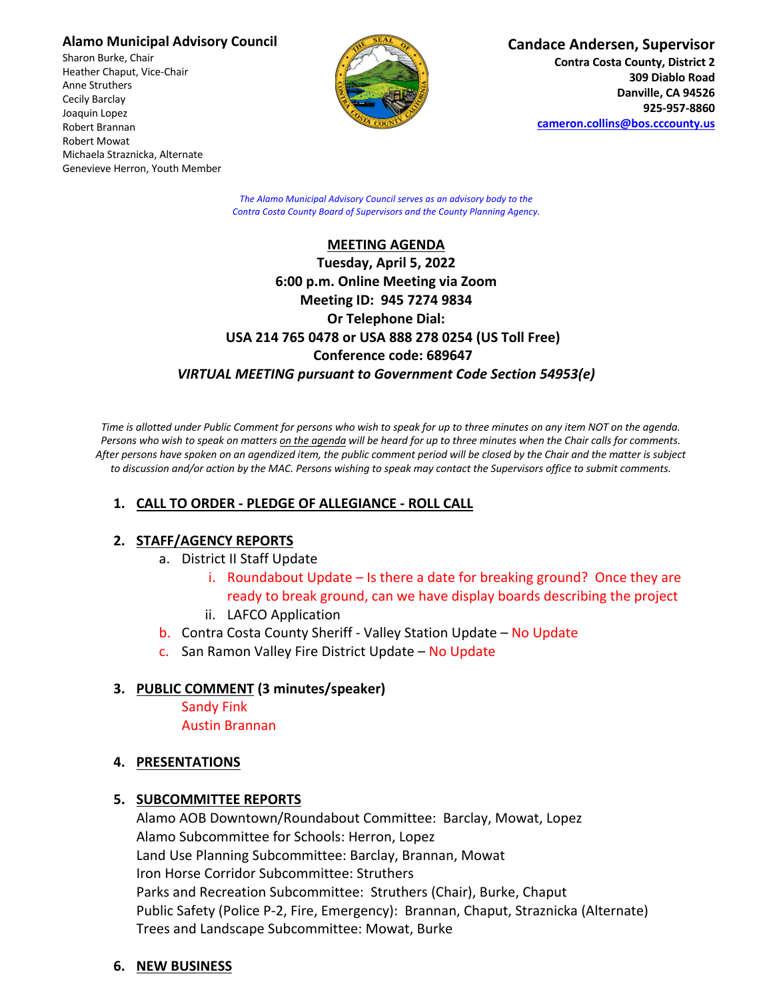### **Alamo Municipal Advisory Council**

Sharon Burke, Chair Heather Chaput, Vice-Chair Anne Struthers Cecily Barclay Joaquin Lopez Robert Brannan Robert Mowat Michaela Straznicka, Alternate Genevieve Herron, Youth Member



**Candace Andersen, Supervisor**

**Contra Costa County, District 2 309 Diablo Road Danville, CA 94526 925-957-8860 cameron.collins@bos.cccounty.us**

*The Alamo Municipal Advisory Council serves as an advisory body to the Contra Costa County Board of Supervisors and the County Planning Agency.*

#### **MEETING AGENDA**

# **Tuesday, April 5, 2022 6:00 p.m. Online Meeting via Zoom Meeting ID: 945 7274 9834 Or Telephone Dial: USA 214 765 0478 or USA 888 278 0254 (US Toll Free) Conference code: 689647** *VIRTUAL MEETING pursuant to Government Code Section 54953(e)*

*Time is allotted under Public Comment for persons who wish to speak for up to three minutes on any item NOT on the agenda. Persons who wish to speak on matters on the agenda will be heard for up to three minutes when the Chair calls for comments. After persons have spoken on an agendized item, the public comment period will be closed by the Chair and the matter is subject to discussion and/or action by the MAC. Persons wishing to speak may contact the Supervisors office to submit comments.*

# **1. CALL TO ORDER - PLEDGE OF ALLEGIANCE - ROLL CALL**

## **2. STAFF/AGENCY REPORTS**

- a. District II Staff Update
	- i. Roundabout Update Is there a date for breaking ground? Once they are ready to break ground, can we have display boards describing the project
	- ii. LAFCO Application
- b. Contra Costa County Sheriff Valley Station Update No Update
- c. San Ramon Valley Fire District Update No Update

## **3. PUBLIC COMMENT (3 minutes/speaker)**

Sandy Fink Austin Brannan

## **4. PRESENTATIONS**

## **5. SUBCOMMITTEE REPORTS**

Alamo AOB Downtown/Roundabout Committee: Barclay, Mowat, Lopez Alamo Subcommittee for Schools: Herron, Lopez Land Use Planning Subcommittee: Barclay, Brannan, Mowat Iron Horse Corridor Subcommittee: Struthers Parks and Recreation Subcommittee: Struthers (Chair), Burke, Chaput Public Safety (Police P-2, Fire, Emergency): Brannan, Chaput, Straznicka (Alternate) Trees and Landscape Subcommittee: Mowat, Burke

## **6. NEW BUSINESS**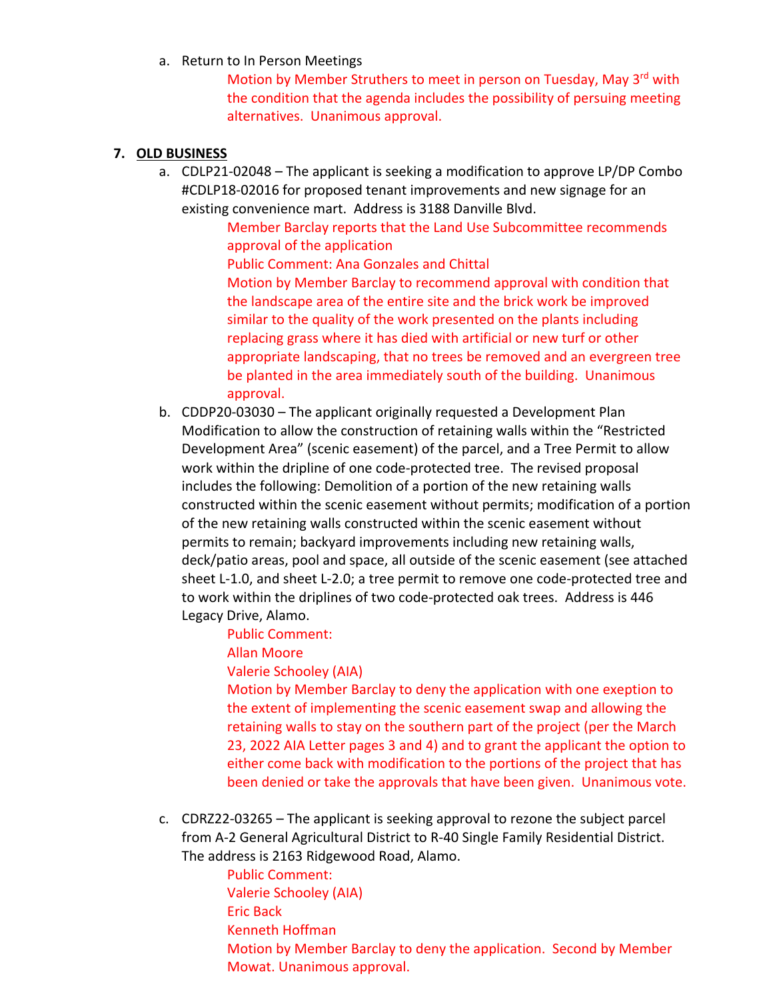a. Return to In Person Meetings

Motion by Member Struthers to meet in person on Tuesday, May 3<sup>rd</sup> with the condition that the agenda includes the possibility of persuing meeting alternatives. Unanimous approval.

## **7. OLD BUSINESS**

a. CDLP21-02048 – The applicant is seeking a modification to approve LP/DP Combo #CDLP18-02016 for proposed tenant improvements and new signage for an existing convenience mart. Address is 3188 Danville Blvd.

> Member Barclay reports that the Land Use Subcommittee recommends approval of the application

Public Comment: Ana Gonzales and Chittal

Motion by Member Barclay to recommend approval with condition that the landscape area of the entire site and the brick work be improved similar to the quality of the work presented on the plants including replacing grass where it has died with artificial or new turf or other appropriate landscaping, that no trees be removed and an evergreen tree be planted in the area immediately south of the building. Unanimous approval.

b. CDDP20-03030 – The applicant originally requested a Development Plan Modification to allow the construction of retaining walls within the "Restricted Development Area" (scenic easement) of the parcel, and a Tree Permit to allow work within the dripline of one code-protected tree. The revised proposal includes the following: Demolition of a portion of the new retaining walls constructed within the scenic easement without permits; modification of a portion of the new retaining walls constructed within the scenic easement without permits to remain; backyard improvements including new retaining walls, deck/patio areas, pool and space, all outside of the scenic easement (see attached sheet L-1.0, and sheet L-2.0; a tree permit to remove one code-protected tree and to work within the driplines of two code-protected oak trees. Address is 446 Legacy Drive, Alamo.

Public Comment:

Allan Moore

Valerie Schooley (AIA)

Motion by Member Barclay to deny the application with one exeption to the extent of implementing the scenic easement swap and allowing the retaining walls to stay on the southern part of the project (per the March 23, 2022 AIA Letter pages 3 and 4) and to grant the applicant the option to either come back with modification to the portions of the project that has been denied or take the approvals that have been given. Unanimous vote.

c. CDRZ22-03265 – The applicant is seeking approval to rezone the subject parcel from A-2 General Agricultural District to R-40 Single Family Residential District. The address is 2163 Ridgewood Road, Alamo.

> Public Comment: Valerie Schooley (AIA) Eric Back Kenneth Hoffman Motion by Member Barclay to deny the application. Second by Member Mowat. Unanimous approval.